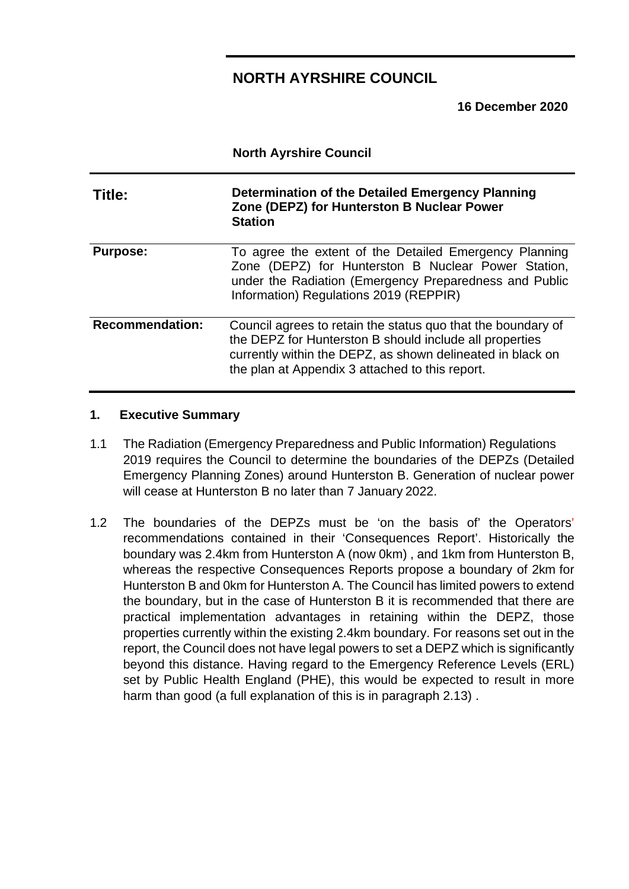### **NORTH AYRSHIRE COUNCIL**

**16 December 2020**

|                                                                                                                            | <b>North Ayrshire Council</b>                                                                                                                                                                                                            |  |  |
|----------------------------------------------------------------------------------------------------------------------------|------------------------------------------------------------------------------------------------------------------------------------------------------------------------------------------------------------------------------------------|--|--|
| Determination of the Detailed Emergency Planning<br>Title:<br>Zone (DEPZ) for Hunterston B Nuclear Power<br><b>Station</b> |                                                                                                                                                                                                                                          |  |  |
| <b>Purpose:</b>                                                                                                            | To agree the extent of the Detailed Emergency Planning<br>Zone (DEPZ) for Hunterston B Nuclear Power Station,<br>under the Radiation (Emergency Preparedness and Public<br>Information) Regulations 2019 (REPPIR)                        |  |  |
| <b>Recommendation:</b>                                                                                                     | Council agrees to retain the status quo that the boundary of<br>the DEPZ for Hunterston B should include all properties<br>currently within the DEPZ, as shown delineated in black on<br>the plan at Appendix 3 attached to this report. |  |  |

### **1. Executive Summary**

- 1.1 The Radiation (Emergency Preparedness and Public Information) Regulations 2019 requires the Council to determine the boundaries of the DEPZs (Detailed Emergency Planning Zones) around Hunterston B. Generation of nuclear power will cease at Hunterston B no later than 7 January 2022.
- 1.2 The boundaries of the DEPZs must be 'on the basis of' the Operators' recommendations contained in their 'Consequences Report'. Historically the boundary was 2.4km from Hunterston A (now 0km) , and 1km from Hunterston B, whereas the respective Consequences Reports propose a boundary of 2km for Hunterston B and 0km for Hunterston A. The Council has limited powers to extend the boundary, but in the case of Hunterston B it is recommended that there are practical implementation advantages in retaining within the DEPZ, those properties currently within the existing 2.4km boundary. For reasons set out in the report, the Council does not have legal powers to set a DEPZ which is significantly beyond this distance. Having regard to the Emergency Reference Levels (ERL) set by Public Health England (PHE), this would be expected to result in more harm than good (a full explanation of this is in paragraph 2.13) .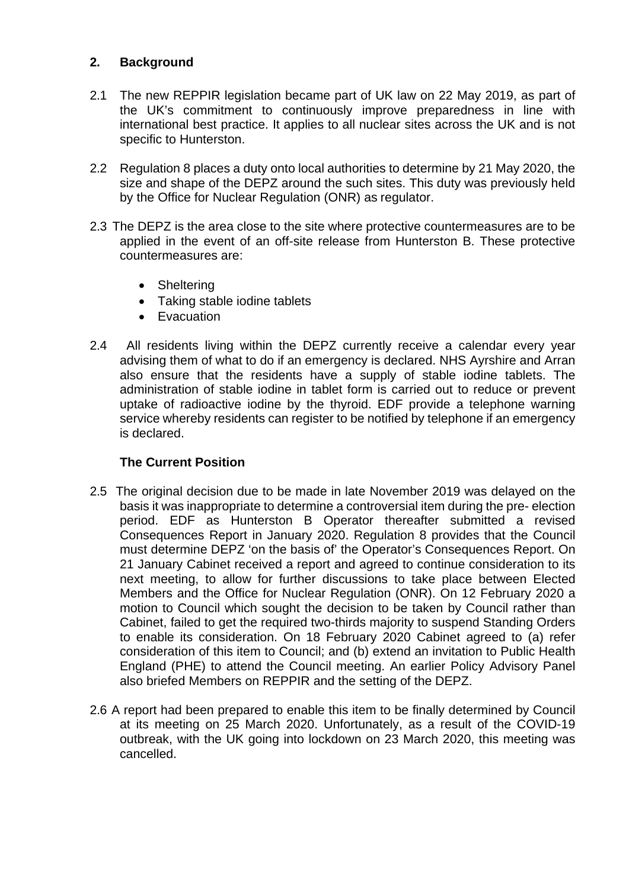### **2. Background**

- 2.1 The new REPPIR legislation became part of UK law on 22 May 2019, as part of the UK's commitment to continuously improve preparedness in line with international best practice. It applies to all nuclear sites across the UK and is not specific to Hunterston.
- 2.2 Regulation 8 places a duty onto local authorities to determine by 21 May 2020, the size and shape of the DEPZ around the such sites. This duty was previously held by the Office for Nuclear Regulation (ONR) as regulator.
- 2.3 The DEPZ is the area close to the site where protective countermeasures are to be applied in the event of an off-site release from Hunterston B. These protective countermeasures are:
	- Sheltering
	- Taking stable iodine tablets
	- Evacuation
- 2.4 All residents living within the DEPZ currently receive a calendar every year advising them of what to do if an emergency is declared. NHS Ayrshire and Arran also ensure that the residents have a supply of stable iodine tablets. The administration of stable iodine in tablet form is carried out to reduce or prevent uptake of radioactive iodine by the thyroid. EDF provide a telephone warning service whereby residents can register to be notified by telephone if an emergency is declared.

### **The Current Position**

- 2.5 The original decision due to be made in late November 2019 was delayed on the basis it was inappropriate to determine a controversial item during the pre- election period. EDF as Hunterston B Operator thereafter submitted a revised Consequences Report in January 2020. Regulation 8 provides that the Council must determine DEPZ 'on the basis of' the Operator's Consequences Report. On 21 January Cabinet received a report and agreed to continue consideration to its next meeting, to allow for further discussions to take place between Elected Members and the Office for Nuclear Regulation (ONR). On 12 February 2020 a motion to Council which sought the decision to be taken by Council rather than Cabinet, failed to get the required two-thirds majority to suspend Standing Orders to enable its consideration. On 18 February 2020 Cabinet agreed to (a) refer consideration of this item to Council; and (b) extend an invitation to Public Health England (PHE) to attend the Council meeting. An earlier Policy Advisory Panel also briefed Members on REPPIR and the setting of the DEPZ.
- 2.6 A report had been prepared to enable this item to be finally determined by Council at its meeting on 25 March 2020. Unfortunately, as a result of the COVID-19 outbreak, with the UK going into lockdown on 23 March 2020, this meeting was cancelled.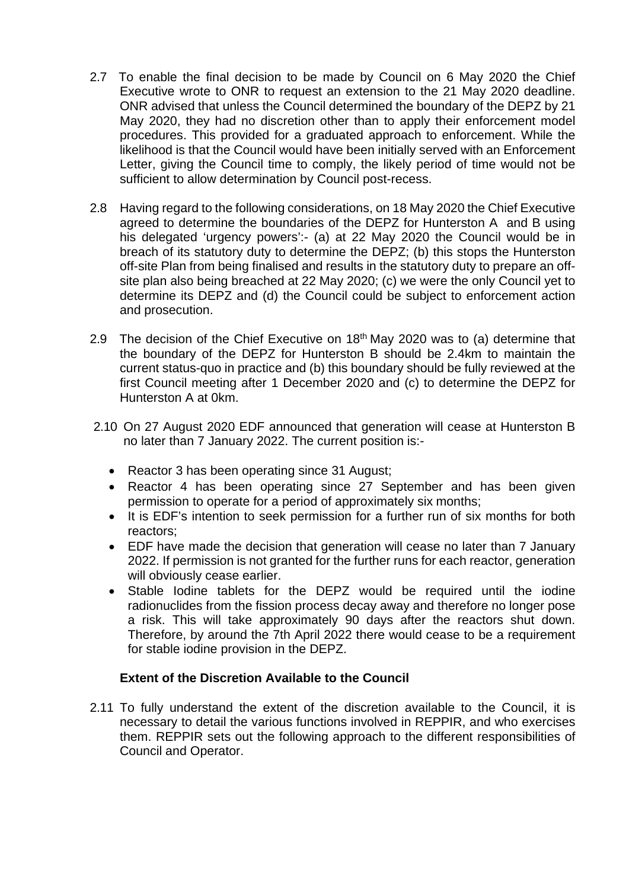- 2.7 To enable the final decision to be made by Council on 6 May 2020 the Chief Executive wrote to ONR to request an extension to the 21 May 2020 deadline. ONR advised that unless the Council determined the boundary of the DEPZ by 21 May 2020, they had no discretion other than to apply their enforcement model procedures. This provided for a graduated approach to enforcement. While the likelihood is that the Council would have been initially served with an Enforcement Letter, giving the Council time to comply, the likely period of time would not be sufficient to allow determination by Council post-recess.
- 2.8 Having regard to the following considerations, on 18 May 2020 the Chief Executive agreed to determine the boundaries of the DEPZ for Hunterston A and B using his delegated 'urgency powers':- (a) at 22 May 2020 the Council would be in breach of its statutory duty to determine the DEPZ; (b) this stops the Hunterston off-site Plan from being finalised and results in the statutory duty to prepare an offsite plan also being breached at 22 May 2020; (c) we were the only Council yet to determine its DEPZ and (d) the Council could be subject to enforcement action and prosecution.
- 2.9 The decision of the Chief Executive on  $18<sup>th</sup>$  May 2020 was to (a) determine that the boundary of the DEPZ for Hunterston B should be 2.4km to maintain the current status-quo in practice and (b) this boundary should be fully reviewed at the first Council meeting after 1 December 2020 and (c) to determine the DEPZ for Hunterston A at 0km.
- 2.10 On 27 August 2020 EDF announced that generation will cease at Hunterston B no later than 7 January 2022. The current position is:-
	- Reactor 3 has been operating since 31 August;
	- Reactor 4 has been operating since 27 September and has been given permission to operate for a period of approximately six months;
	- It is EDF's intention to seek permission for a further run of six months for both reactors;
	- EDF have made the decision that generation will cease no later than 7 January 2022. If permission is not granted for the further runs for each reactor, generation will obviously cease earlier.
	- Stable Iodine tablets for the DEPZ would be required until the iodine radionuclides from the fission process decay away and therefore no longer pose a risk. This will take approximately 90 days after the reactors shut down. Therefore, by around the 7th April 2022 there would cease to be a requirement for stable iodine provision in the DEPZ.

### **Extent of the Discretion Available to the Council**

2.11 To fully understand the extent of the discretion available to the Council, it is necessary to detail the various functions involved in REPPIR, and who exercises them. REPPIR sets out the following approach to the different responsibilities of Council and Operator.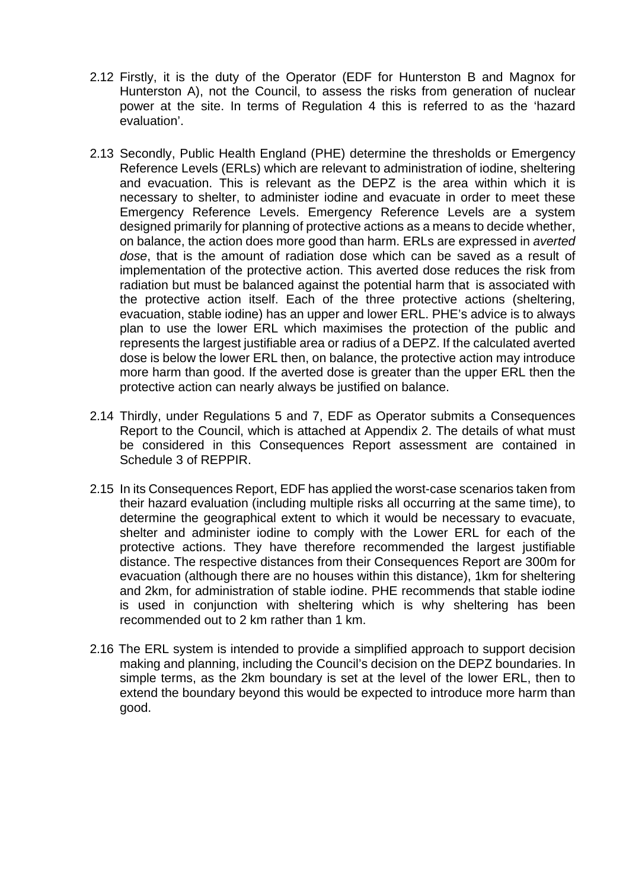- 2.12 Firstly, it is the duty of the Operator (EDF for Hunterston B and Magnox for Hunterston A), not the Council, to assess the risks from generation of nuclear power at the site. In terms of Regulation 4 this is referred to as the 'hazard evaluation'.
- 2.13 Secondly, Public Health England (PHE) determine the thresholds or Emergency Reference Levels (ERLs) which are relevant to administration of iodine, sheltering and evacuation. This is relevant as the DEPZ is the area within which it is necessary to shelter, to administer iodine and evacuate in order to meet these Emergency Reference Levels. Emergency Reference Levels are a system designed primarily for planning of protective actions as a means to decide whether, on balance, the action does more good than harm. ERLs are expressed in *averted dose*, that is the amount of radiation dose which can be saved as a result of implementation of the protective action. This averted dose reduces the risk from radiation but must be balanced against the potential harm that is associated with the protective action itself. Each of the three protective actions (sheltering, evacuation, stable iodine) has an upper and lower ERL. PHE's advice is to always plan to use the lower ERL which maximises the protection of the public and represents the largest justifiable area or radius of a DEPZ. If the calculated averted dose is below the lower ERL then, on balance, the protective action may introduce more harm than good. If the averted dose is greater than the upper ERL then the protective action can nearly always be justified on balance.
- 2.14 Thirdly, under Regulations 5 and 7, EDF as Operator submits a Consequences Report to the Council, which is attached at Appendix 2. The details of what must be considered in this Consequences Report assessment are contained in Schedule 3 of REPPIR.
- 2.15 In its Consequences Report, EDF has applied the worst-case scenarios taken from their hazard evaluation (including multiple risks all occurring at the same time), to determine the geographical extent to which it would be necessary to evacuate, shelter and administer iodine to comply with the Lower ERL for each of the protective actions. They have therefore recommended the largest justifiable distance. The respective distances from their Consequences Report are 300m for evacuation (although there are no houses within this distance), 1km for sheltering and 2km, for administration of stable iodine. PHE recommends that stable iodine is used in conjunction with sheltering which is why sheltering has been recommended out to 2 km rather than 1 km.
- 2.16 The ERL system is intended to provide a simplified approach to support decision making and planning, including the Council's decision on the DEPZ boundaries. In simple terms, as the 2km boundary is set at the level of the lower ERL, then to extend the boundary beyond this would be expected to introduce more harm than good.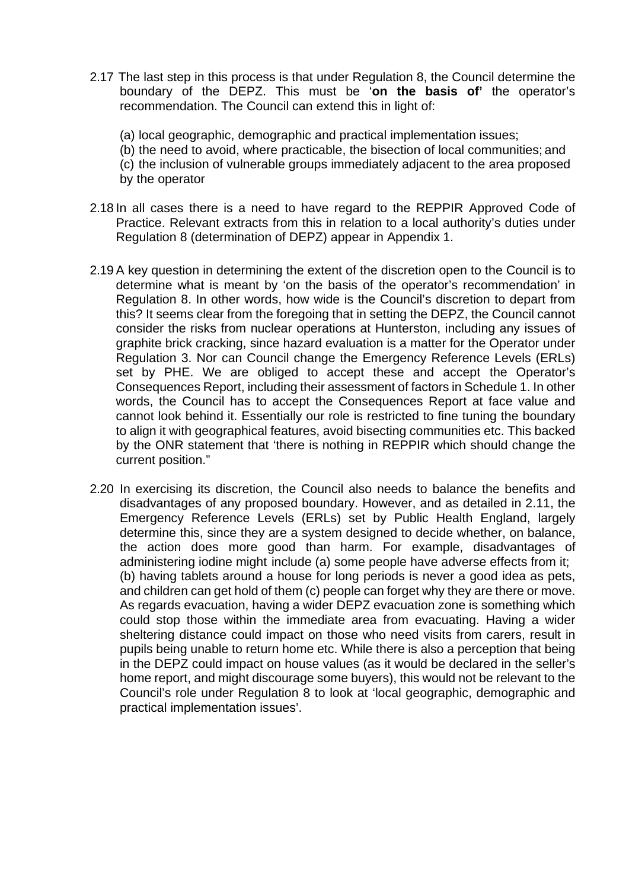- 2.17 The last step in this process is that under Regulation 8, the Council determine the boundary of the DEPZ. This must be '**on the basis of'** the operator's recommendation. The Council can extend this in light of:
	- (a) local geographic, demographic and practical implementation issues;
	- (b) the need to avoid, where practicable, the bisection of local communities; and
	- (c) the inclusion of vulnerable groups immediately adjacent to the area proposed
	- by the operator
- 2.18 In all cases there is a need to have regard to the REPPIR Approved Code of Practice. Relevant extracts from this in relation to a local authority's duties under Regulation 8 (determination of DEPZ) appear in Appendix 1.
- 2.19 A key question in determining the extent of the discretion open to the Council is to determine what is meant by 'on the basis of the operator's recommendation' in Regulation 8. In other words, how wide is the Council's discretion to depart from this? It seems clear from the foregoing that in setting the DEPZ, the Council cannot consider the risks from nuclear operations at Hunterston, including any issues of graphite brick cracking, since hazard evaluation is a matter for the Operator under Regulation 3. Nor can Council change the Emergency Reference Levels (ERLs) set by PHE. We are obliged to accept these and accept the Operator's Consequences Report, including their assessment of factors in Schedule 1. In other words, the Council has to accept the Consequences Report at face value and cannot look behind it. Essentially our role is restricted to fine tuning the boundary to align it with geographical features, avoid bisecting communities etc. This backed by the ONR statement that 'there is nothing in REPPIR which should change the current position."
- 2.20 In exercising its discretion, the Council also needs to balance the benefits and disadvantages of any proposed boundary. However, and as detailed in 2.11, the Emergency Reference Levels (ERLs) set by Public Health England, largely determine this, since they are a system designed to decide whether, on balance, the action does more good than harm. For example, disadvantages of administering iodine might include (a) some people have adverse effects from it; (b) having tablets around a house for long periods is never a good idea as pets, and children can get hold of them (c) people can forget why they are there or move. As regards evacuation, having a wider DEPZ evacuation zone is something which could stop those within the immediate area from evacuating. Having a wider sheltering distance could impact on those who need visits from carers, result in pupils being unable to return home etc. While there is also a perception that being in the DEPZ could impact on house values (as it would be declared in the seller's home report, and might discourage some buyers), this would not be relevant to the Council's role under Regulation 8 to look at 'local geographic, demographic and practical implementation issues'.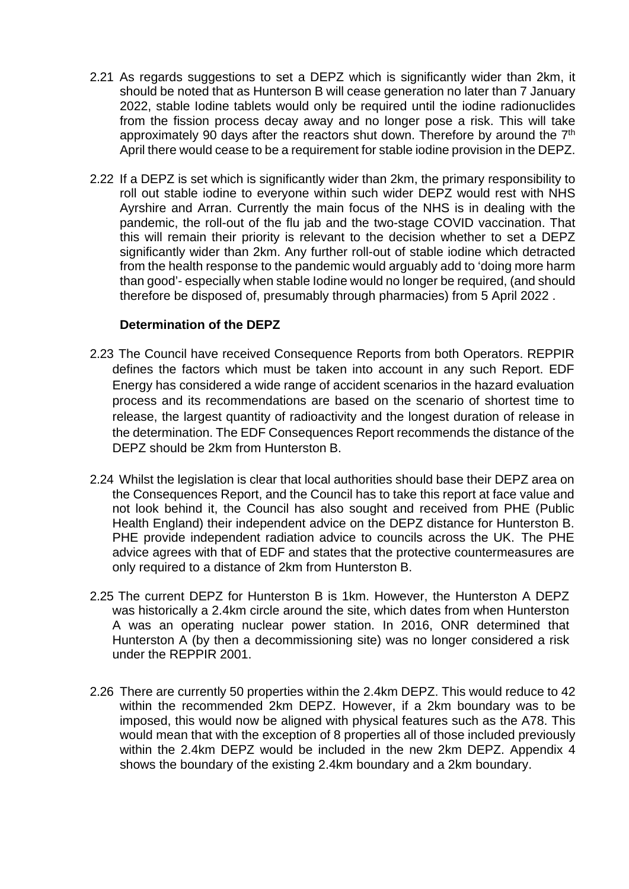- 2.21 As regards suggestions to set a DEPZ which is significantly wider than 2km, it should be noted that as Hunterson B will cease generation no later than 7 January 2022, stable Iodine tablets would only be required until the iodine radionuclides from the fission process decay away and no longer pose a risk. This will take approximately 90 days after the reactors shut down. Therefore by around the 7<sup>th</sup> April there would cease to be a requirement for stable iodine provision in the DEPZ.
- 2.22 If a DEPZ is set which is significantly wider than 2km, the primary responsibility to roll out stable iodine to everyone within such wider DEPZ would rest with NHS Ayrshire and Arran. Currently the main focus of the NHS is in dealing with the pandemic, the roll-out of the flu jab and the two-stage COVID vaccination. That this will remain their priority is relevant to the decision whether to set a DEPZ significantly wider than 2km. Any further roll-out of stable iodine which detracted from the health response to the pandemic would arguably add to 'doing more harm than good'- especially when stable Iodine would no longer be required, (and should therefore be disposed of, presumably through pharmacies) from 5 April 2022 .

### **Determination of the DEPZ**

- 2.23 The Council have received Consequence Reports from both Operators. REPPIR defines the factors which must be taken into account in any such Report. EDF Energy has considered a wide range of accident scenarios in the hazard evaluation process and its recommendations are based on the scenario of shortest time to release, the largest quantity of radioactivity and the longest duration of release in the determination. The EDF Consequences Report recommends the distance of the DEPZ should be 2km from Hunterston B.
- 2.24 Whilst the legislation is clear that local authorities should base their DEPZ area on the Consequences Report, and the Council has to take this report at face value and not look behind it, the Council has also sought and received from PHE (Public Health England) their independent advice on the DEPZ distance for Hunterston B. PHE provide independent radiation advice to councils across the UK. The PHE advice agrees with that of EDF and states that the protective countermeasures are only required to a distance of 2km from Hunterston B.
- 2.25 The current DEPZ for Hunterston B is 1km. However, the Hunterston A DEPZ was historically a 2.4km circle around the site, which dates from when Hunterston A was an operating nuclear power station. In 2016, ONR determined that Hunterston A (by then a decommissioning site) was no longer considered a risk under the REPPIR 2001.
- 2.26 There are currently 50 properties within the 2.4km DEPZ. This would reduce to 42 within the recommended 2km DEPZ. However, if a 2km boundary was to be imposed, this would now be aligned with physical features such as the A78. This would mean that with the exception of 8 properties all of those included previously within the 2.4km DEPZ would be included in the new 2km DEPZ. Appendix 4 shows the boundary of the existing 2.4km boundary and a 2km boundary.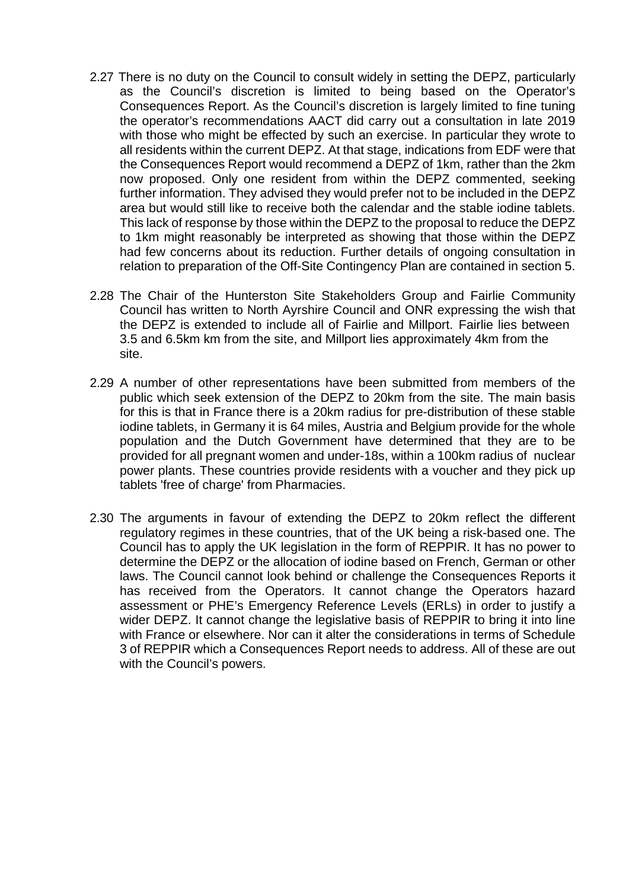- 2.27 There is no duty on the Council to consult widely in setting the DEPZ, particularly as the Council's discretion is limited to being based on the Operator's Consequences Report. As the Council's discretion is largely limited to fine tuning the operator's recommendations AACT did carry out a consultation in late 2019 with those who might be effected by such an exercise. In particular they wrote to all residents within the current DEPZ. At that stage, indications from EDF were that the Consequences Report would recommend a DEPZ of 1km, rather than the 2km now proposed. Only one resident from within the DEPZ commented, seeking further information. They advised they would prefer not to be included in the DEPZ area but would still like to receive both the calendar and the stable iodine tablets. This lack of response by those within the DEPZ to the proposal to reduce the DEPZ to 1km might reasonably be interpreted as showing that those within the DEPZ had few concerns about its reduction. Further details of ongoing consultation in relation to preparation of the Off-Site Contingency Plan are contained in section 5.
- 2.28 The Chair of the Hunterston Site Stakeholders Group and Fairlie Community Council has written to North Ayrshire Council and ONR expressing the wish that the DEPZ is extended to include all of Fairlie and Millport. Fairlie lies between 3.5 and 6.5km km from the site, and Millport lies approximately 4km from the site.
- 2.29 A number of other representations have been submitted from members of the public which seek extension of the DEPZ to 20km from the site. The main basis for this is that in France there is a 20km radius for pre-distribution of these stable iodine tablets, in Germany it is 64 miles, Austria and Belgium provide for the whole population and the Dutch Government have determined that they are to be provided for all pregnant women and under-18s, within a 100km radius of nuclear power plants. These countries provide residents with a voucher and they pick up tablets 'free of charge' from Pharmacies.
- 2.30 The arguments in favour of extending the DEPZ to 20km reflect the different regulatory regimes in these countries, that of the UK being a risk-based one. The Council has to apply the UK legislation in the form of REPPIR. It has no power to determine the DEPZ or the allocation of iodine based on French, German or other laws. The Council cannot look behind or challenge the Consequences Reports it has received from the Operators. It cannot change the Operators hazard assessment or PHE's Emergency Reference Levels (ERLs) in order to justify a wider DEPZ. It cannot change the legislative basis of REPPIR to bring it into line with France or elsewhere. Nor can it alter the considerations in terms of Schedule 3 of REPPIR which a Consequences Report needs to address. All of these are out with the Council's powers.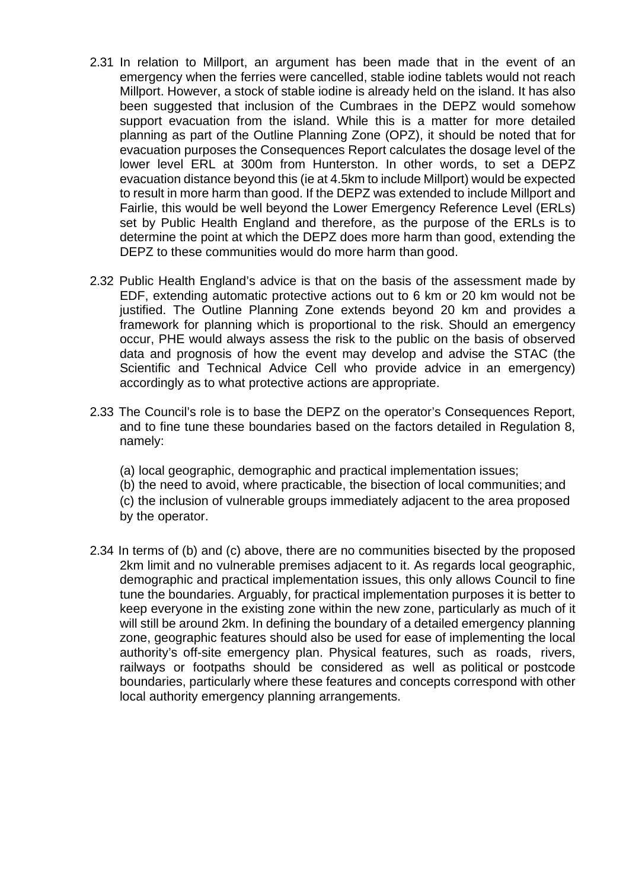- 2.31 In relation to Millport, an argument has been made that in the event of an emergency when the ferries were cancelled, stable iodine tablets would not reach Millport. However, a stock of stable iodine is already held on the island. It has also been suggested that inclusion of the Cumbraes in the DEPZ would somehow support evacuation from the island. While this is a matter for more detailed planning as part of the Outline Planning Zone (OPZ), it should be noted that for evacuation purposes the Consequences Report calculates the dosage level of the lower level ERL at 300m from Hunterston. In other words, to set a DEPZ evacuation distance beyond this (ie at 4.5km to include Millport) would be expected to result in more harm than good. If the DEPZ was extended to include Millport and Fairlie, this would be well beyond the Lower Emergency Reference Level (ERLs) set by Public Health England and therefore, as the purpose of the ERLs is to determine the point at which the DEPZ does more harm than good, extending the DEPZ to these communities would do more harm than good.
- 2.32 Public Health England's advice is that on the basis of the assessment made by EDF, extending automatic protective actions out to 6 km or 20 km would not be justified. The Outline Planning Zone extends beyond 20 km and provides a framework for planning which is proportional to the risk. Should an emergency occur, PHE would always assess the risk to the public on the basis of observed data and prognosis of how the event may develop and advise the STAC (the Scientific and Technical Advice Cell who provide advice in an emergency) accordingly as to what protective actions are appropriate.
- 2.33 The Council's role is to base the DEPZ on the operator's Consequences Report, and to fine tune these boundaries based on the factors detailed in Regulation 8, namely:
	- (a) local geographic, demographic and practical implementation issues;
	- (b) the need to avoid, where practicable, the bisection of local communities; and
	- (c) the inclusion of vulnerable groups immediately adjacent to the area proposed by the operator.
- 2.34 In terms of (b) and (c) above, there are no communities bisected by the proposed 2km limit and no vulnerable premises adjacent to it. As regards local geographic, demographic and practical implementation issues, this only allows Council to fine tune the boundaries. Arguably, for practical implementation purposes it is better to keep everyone in the existing zone within the new zone, particularly as much of it will still be around 2km. In defining the boundary of a detailed emergency planning zone, geographic features should also be used for ease of implementing the local authority's off-site emergency plan. Physical features, such as roads, rivers, railways or footpaths should be considered as well as political or postcode boundaries, particularly where these features and concepts correspond with other local authority emergency planning arrangements.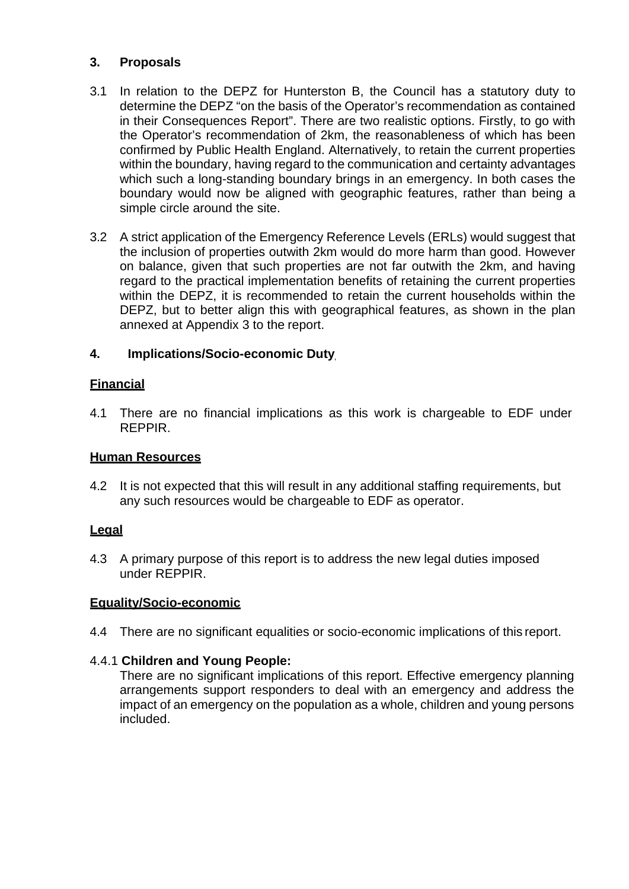### **3. Proposals**

- 3.1 In relation to the DEPZ for Hunterston B, the Council has a statutory duty to determine the DEPZ "on the basis of the Operator's recommendation as contained in their Consequences Report". There are two realistic options. Firstly, to go with the Operator's recommendation of 2km, the reasonableness of which has been confirmed by Public Health England. Alternatively, to retain the current properties within the boundary, having regard to the communication and certainty advantages which such a long-standing boundary brings in an emergency. In both cases the boundary would now be aligned with geographic features, rather than being a simple circle around the site.
- 3.2 A strict application of the Emergency Reference Levels (ERLs) would suggest that the inclusion of properties outwith 2km would do more harm than good. However on balance, given that such properties are not far outwith the 2km, and having regard to the practical implementation benefits of retaining the current properties within the DEPZ, it is recommended to retain the current households within the DEPZ, but to better align this with geographical features, as shown in the plan annexed at Appendix 3 to the report.

### **4. Implications/Socio-economic Duty**

### **Financial**

4.1 There are no financial implications as this work is chargeable to EDF under REPPIR.

### **Human Resources**

4.2 It is not expected that this will result in any additional staffing requirements, but any such resources would be chargeable to EDF as operator.

### **Legal**

4.3 A primary purpose of this report is to address the new legal duties imposed under REPPIR.

### **Equality/Socio-economic**

4.4 There are no significant equalities or socio-economic implications of this report.

### 4.4.1 **Children and Young People:**

There are no significant implications of this report. Effective emergency planning arrangements support responders to deal with an emergency and address the impact of an emergency on the population as a whole, children and young persons included.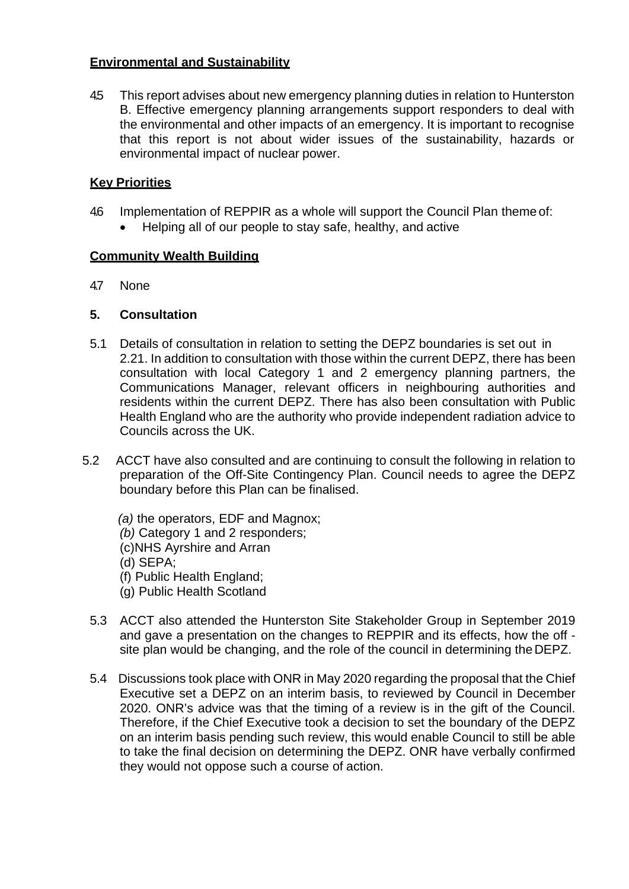### **Environmental and Sustainability**

4.5 This report advises about new emergency planning duties in relation to Hunterston B. Effective emergency planning arrangements support responders to deal with the environmental and other impacts of an emergency. It is important to recognise that this report is not about wider issues of the sustainability, hazards or environmental impact of nuclear power.

### **Key Priorities**

- 4.6 Implementation of REPPIR as a whole will support the Council Plan theme of:
	- Helping all of our people to stay safe, healthy, and active

### **Community Wealth Building**

4.7 None

### **5. Consultation**

- 5.1 Details of consultation in relation to setting the DEPZ boundaries is set out in 2.21. In addition to consultation with those within the current DEPZ, there has been consultation with local Category 1 and 2 emergency planning partners, the Communications Manager, relevant officers in neighbouring authorities and residents within the current DEPZ. There has also been consultation with Public Health England who are the authority who provide independent radiation advice to Councils across the UK.
- 5.2 ACCT have also consulted and are continuing to consult the following in relation to preparation of the Off-Site Contingency Plan. Council needs to agree the DEPZ boundary before this Plan can be finalised.

*(a)* the operators, EDF and Magnox; *(b)* Category 1 and 2 responders; (c)NHS Ayrshire and Arran (d) SEPA; (f) Public Health England; (g) Public Health Scotland

- 5.3 ACCT also attended the Hunterston Site Stakeholder Group in September 2019 and gave a presentation on the changes to REPPIR and its effects, how the off site plan would be changing, and the role of the council in determining theDEPZ.
- 5.4 Discussions took place with ONR in May 2020 regarding the proposal that the Chief Executive set a DEPZ on an interim basis, to reviewed by Council in December 2020. ONR's advice was that the timing of a review is in the gift of the Council. Therefore, if the Chief Executive took a decision to set the boundary of the DEPZ on an interim basis pending such review, this would enable Council to still be able to take the final decision on determining the DEPZ. ONR have verbally confirmed they would not oppose such a course of action.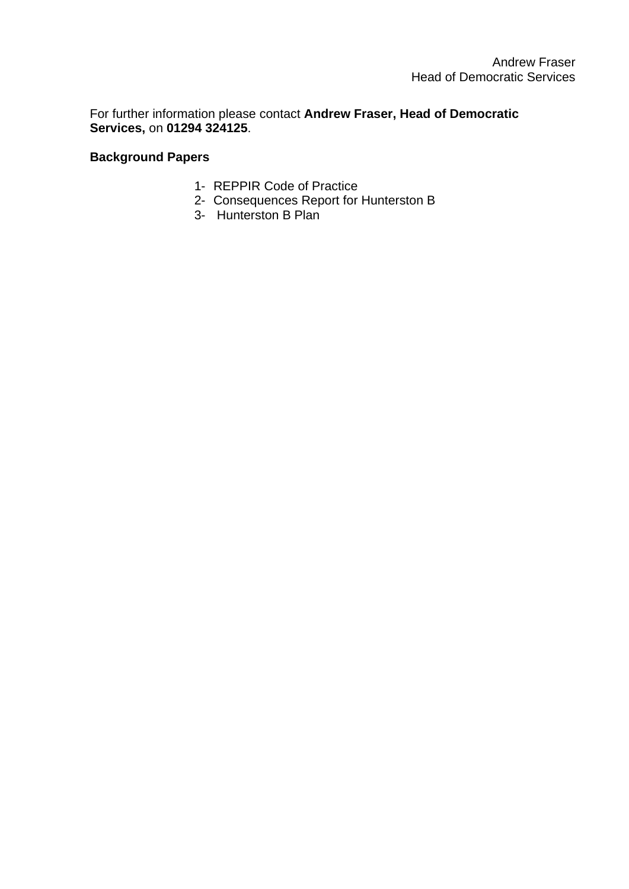For further information please contact **Andrew Fraser, Head of Democratic Services,** on **01294 324125**.

### **Background Papers**

- 1- REPPIR Code of Practice
- 2- Consequences Report for Hunterston B
- 3- Hunterston B Plan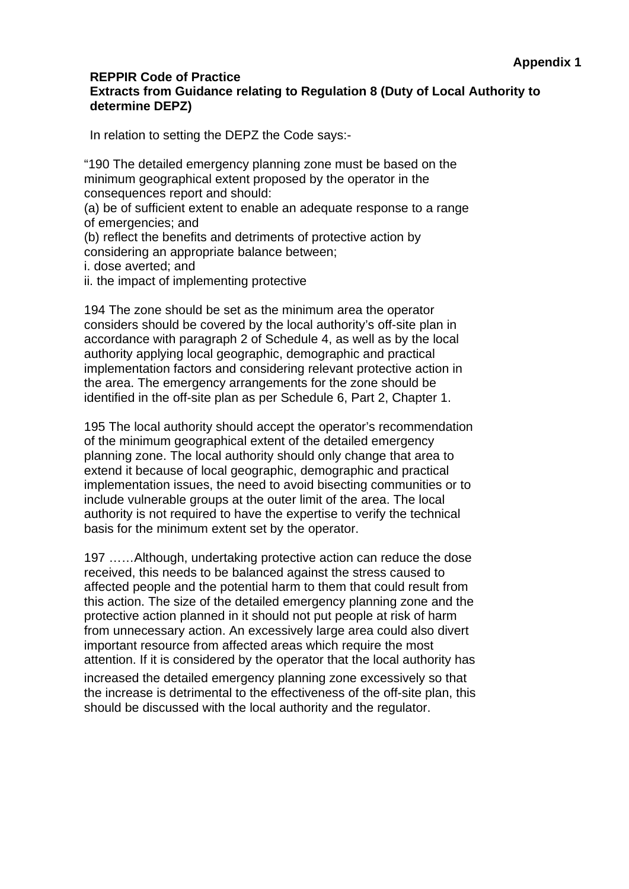### **REPPIR Code of Practice Extracts from Guidance relating to Regulation 8 (Duty of Local Authority to determine DEPZ)**

In relation to setting the DEPZ the Code says:-

"190 The detailed emergency planning zone must be based on the minimum geographical extent proposed by the operator in the consequences report and should:

(a) be of sufficient extent to enable an adequate response to a range of emergencies; and

(b) reflect the benefits and detriments of protective action by considering an appropriate balance between;

i. dose averted; and

ii. the impact of implementing protective

194 The zone should be set as the minimum area the operator considers should be covered by the local authority's off-site plan in accordance with paragraph 2 of Schedule 4, as well as by the local authority applying local geographic, demographic and practical implementation factors and considering relevant protective action in the area. The emergency arrangements for the zone should be identified in the off-site plan as per Schedule 6, Part 2, Chapter 1.

195 The local authority should accept the operator's recommendation of the minimum geographical extent of the detailed emergency planning zone. The local authority should only change that area to extend it because of local geographic, demographic and practical implementation issues, the need to avoid bisecting communities or to include vulnerable groups at the outer limit of the area. The local authority is not required to have the expertise to verify the technical basis for the minimum extent set by the operator.

197 ……Although, undertaking protective action can reduce the dose received, this needs to be balanced against the stress caused to affected people and the potential harm to them that could result from this action. The size of the detailed emergency planning zone and the protective action planned in it should not put people at risk of harm from unnecessary action. An excessively large area could also divert important resource from affected areas which require the most attention. If it is considered by the operator that the local authority has increased the detailed emergency planning zone excessively so that the increase is detrimental to the effectiveness of the off-site plan, this should be discussed with the local authority and the regulator.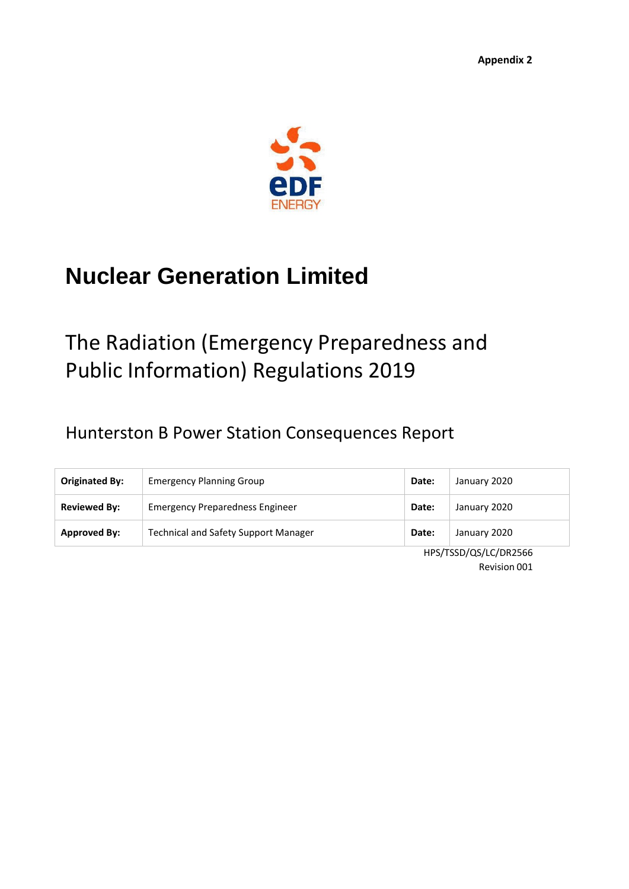

# **Nuclear Generation Limited**

# The Radiation (Emergency Preparedness and Public Information) Regulations 2019

## Hunterston B Power Station Consequences Report

| Originated By:      | <b>Emergency Planning Group</b>             | Date: | January 2020 |
|---------------------|---------------------------------------------|-------|--------------|
| <b>Reviewed By:</b> | Emergency Preparedness Engineer             | Date: | January 2020 |
| <b>Approved By:</b> | <b>Technical and Safety Support Manager</b> | Date: | January 2020 |

HPS/TSSD/QS/LC/DR2566 Revision 001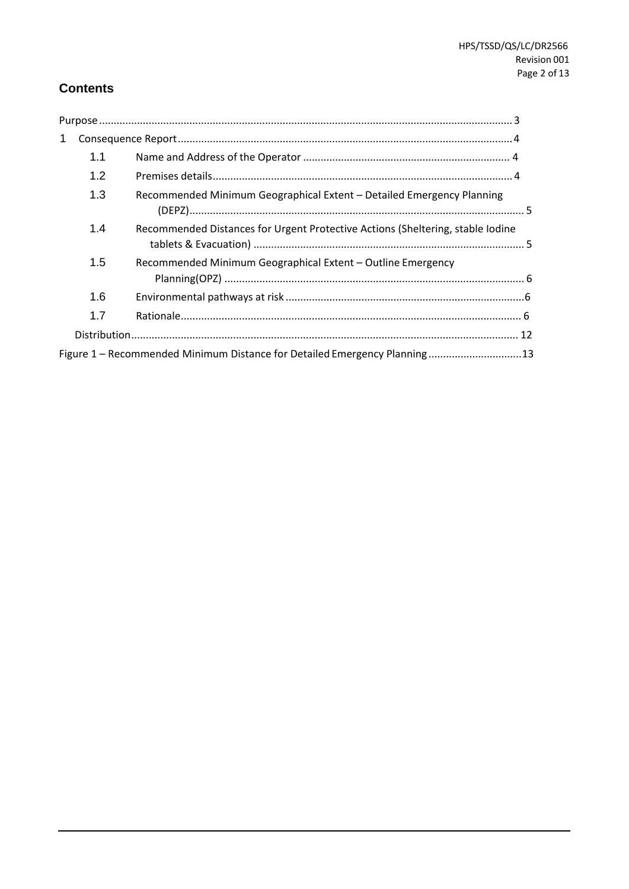### **Contents**

| 1 |     |                                                                                |  |
|---|-----|--------------------------------------------------------------------------------|--|
|   | 1.1 |                                                                                |  |
|   | 1.2 |                                                                                |  |
|   | 1.3 | Recommended Minimum Geographical Extent - Detailed Emergency Planning          |  |
|   | 1.4 | Recommended Distances for Urgent Protective Actions (Sheltering, stable Iodine |  |
|   | 1.5 | Recommended Minimum Geographical Extent - Outline Emergency                    |  |
|   | 1.6 |                                                                                |  |
|   | 1.7 |                                                                                |  |
|   |     |                                                                                |  |
|   |     | Figure 1 - Recommended Minimum Distance for Detailed Emergency Planning 13     |  |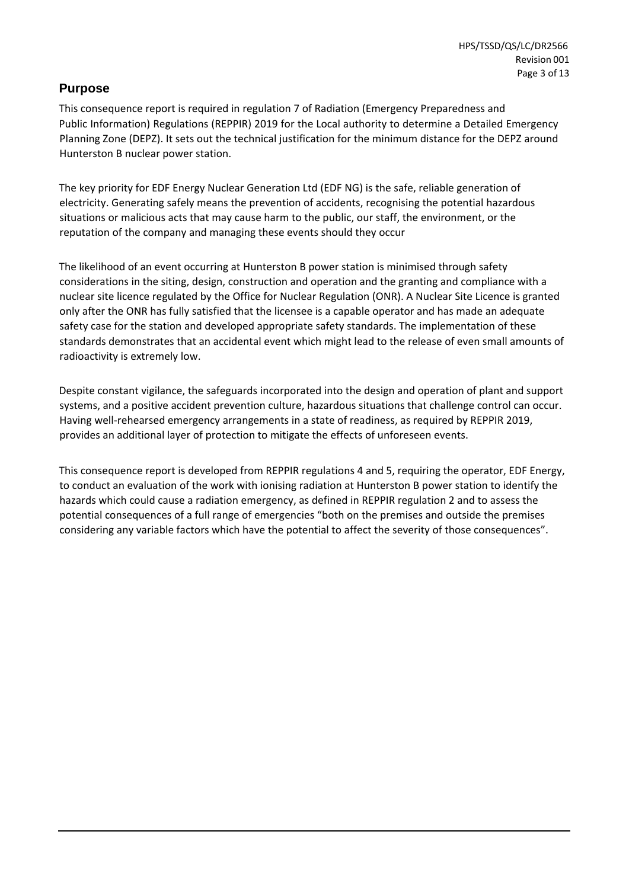### <span id="page-14-0"></span>**Purpose**

This consequence report is required in regulation 7 of Radiation (Emergency Preparedness and Public Information) Regulations (REPPIR) 2019 for the Local authority to determine a Detailed Emergency Planning Zone (DEPZ). It sets out the technical justification for the minimum distance for the DEPZ around Hunterston B nuclear power station.

The key priority for EDF Energy Nuclear Generation Ltd (EDF NG) is the safe, reliable generation of electricity. Generating safely means the prevention of accidents, recognising the potential hazardous situations or malicious acts that may cause harm to the public, our staff, the environment, or the reputation of the company and managing these events should they occur

The likelihood of an event occurring at Hunterston B power station is minimised through safety considerations in the siting, design, construction and operation and the granting and compliance with a nuclear site licence regulated by the Office for Nuclear Regulation (ONR). A Nuclear Site Licence is granted only after the ONR has fully satisfied that the licensee is a capable operator and has made an adequate safety case for the station and developed appropriate safety standards. The implementation of these standards demonstrates that an accidental event which might lead to the release of even small amounts of radioactivity is extremely low.

Despite constant vigilance, the safeguards incorporated into the design and operation of plant and support systems, and a positive accident prevention culture, hazardous situations that challenge control can occur. Having well-rehearsed emergency arrangements in a state of readiness, as required by REPPIR 2019, provides an additional layer of protection to mitigate the effects of unforeseen events.

This consequence report is developed from REPPIR regulations 4 and 5, requiring the operator, EDF Energy, to conduct an evaluation of the work with ionising radiation at Hunterston B power station to identify the hazards which could cause a radiation emergency, as defined in REPPIR regulation 2 and to assess the potential consequences of a full range of emergencies "both on the premises and outside the premises considering any variable factors which have the potential to affect the severity of those consequences".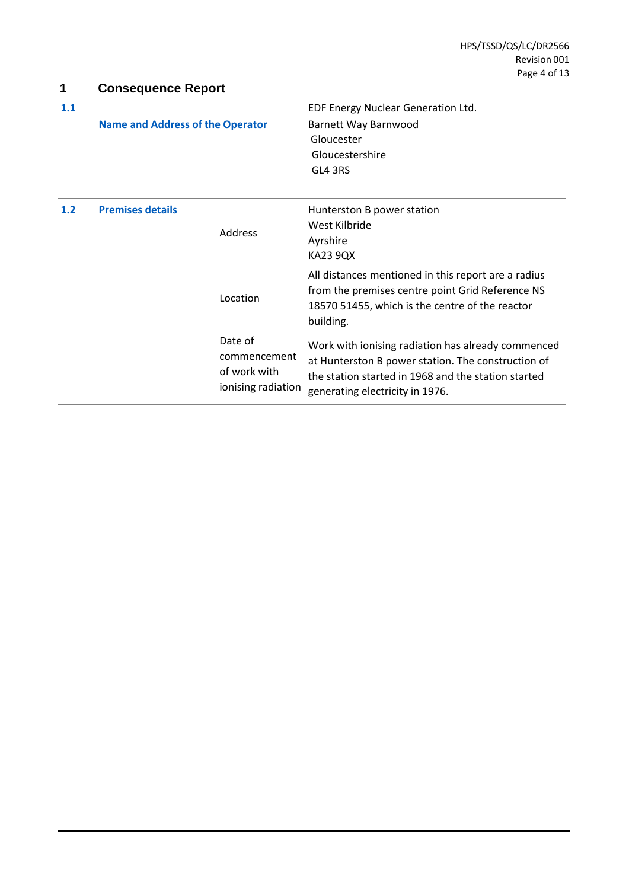<span id="page-15-0"></span>

|     |                                         | <b>Consequence Report</b> |                                                     |  |  |
|-----|-----------------------------------------|---------------------------|-----------------------------------------------------|--|--|
| 1.1 |                                         |                           | EDF Energy Nuclear Generation Ltd.                  |  |  |
|     | <b>Name and Address of the Operator</b> |                           | Barnett Way Barnwood                                |  |  |
|     |                                         |                           | Gloucester                                          |  |  |
|     |                                         |                           | Gloucestershire                                     |  |  |
|     |                                         |                           | GL4 3RS                                             |  |  |
|     |                                         |                           |                                                     |  |  |
| 1.2 | <b>Premises details</b>                 | Address                   | Hunterston B power station                          |  |  |
|     |                                         |                           | West Kilbride                                       |  |  |
|     |                                         |                           | Ayrshire                                            |  |  |
|     |                                         |                           | <b>KA23 9QX</b>                                     |  |  |
|     |                                         | Location                  | All distances mentioned in this report are a radius |  |  |
|     |                                         |                           | from the premises centre point Grid Reference NS    |  |  |
|     |                                         |                           | 18570 51455, which is the centre of the reactor     |  |  |
|     |                                         |                           | building.                                           |  |  |
|     |                                         | Date of                   | Work with ionising radiation has already commenced  |  |  |
|     |                                         | commencement              | at Hunterston B power station. The construction of  |  |  |
|     |                                         | of work with              | the station started in 1968 and the station started |  |  |
|     |                                         | ionising radiation        | generating electricity in 1976.                     |  |  |
|     |                                         |                           |                                                     |  |  |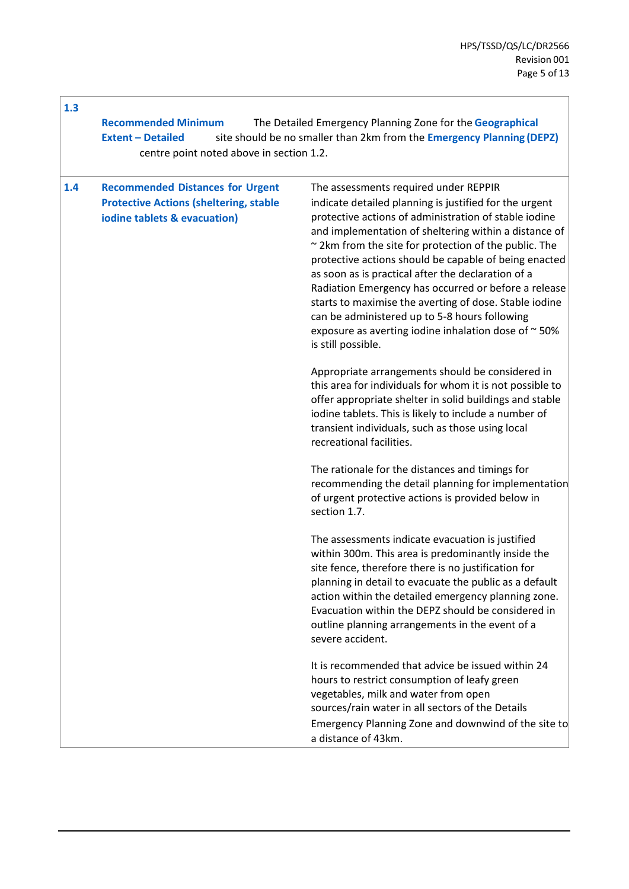| 1.3 | <b>Recommended Minimum</b><br><b>Extent - Detailed</b><br>centre point noted above in section 1.2.                       | The Detailed Emergency Planning Zone for the Geographical<br>site should be no smaller than 2km from the Emergency Planning (DEPZ)                                                                                                                                                                                                                                                                                                                                                                                                                                                                                                        |
|-----|--------------------------------------------------------------------------------------------------------------------------|-------------------------------------------------------------------------------------------------------------------------------------------------------------------------------------------------------------------------------------------------------------------------------------------------------------------------------------------------------------------------------------------------------------------------------------------------------------------------------------------------------------------------------------------------------------------------------------------------------------------------------------------|
| 1.4 | <b>Recommended Distances for Urgent</b><br><b>Protective Actions (sheltering, stable</b><br>iodine tablets & evacuation) | The assessments required under REPPIR<br>indicate detailed planning is justified for the urgent<br>protective actions of administration of stable iodine<br>and implementation of sheltering within a distance of<br>~ 2km from the site for protection of the public. The<br>protective actions should be capable of being enacted<br>as soon as is practical after the declaration of a<br>Radiation Emergency has occurred or before a release<br>starts to maximise the averting of dose. Stable iodine<br>can be administered up to 5-8 hours following<br>exposure as averting iodine inhalation dose of ~50%<br>is still possible. |
|     |                                                                                                                          | Appropriate arrangements should be considered in<br>this area for individuals for whom it is not possible to<br>offer appropriate shelter in solid buildings and stable<br>iodine tablets. This is likely to include a number of<br>transient individuals, such as those using local<br>recreational facilities.                                                                                                                                                                                                                                                                                                                          |
|     |                                                                                                                          | The rationale for the distances and timings for<br>recommending the detail planning for implementation<br>of urgent protective actions is provided below in<br>section 1.7.                                                                                                                                                                                                                                                                                                                                                                                                                                                               |
|     |                                                                                                                          | The assessments indicate evacuation is justified<br>within 300m. This area is predominantly inside the<br>site fence, therefore there is no justification for<br>planning in detail to evacuate the public as a default<br>action within the detailed emergency planning zone.<br>Evacuation within the DEPZ should be considered in<br>outline planning arrangements in the event of a<br>severe accident.                                                                                                                                                                                                                               |
|     |                                                                                                                          | It is recommended that advice be issued within 24<br>hours to restrict consumption of leafy green<br>vegetables, milk and water from open<br>sources/rain water in all sectors of the Details<br>Emergency Planning Zone and downwind of the site to<br>a distance of 43km.                                                                                                                                                                                                                                                                                                                                                               |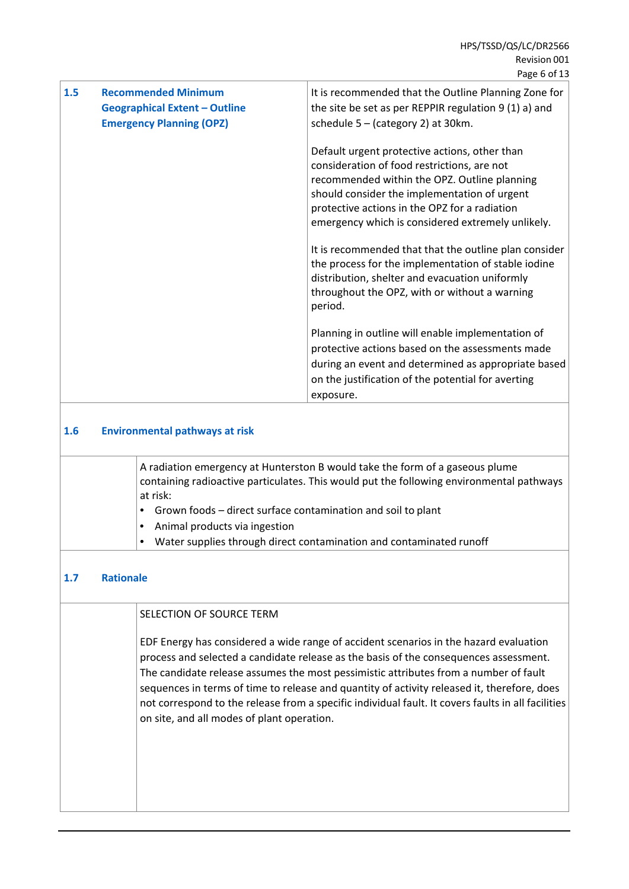| 1.5                                          | <b>Recommended Minimum</b><br><b>Geographical Extent - Outline</b><br><b>Emergency Planning (OPZ)</b>                                                                                | It is recommended that the Outline Planning Zone for<br>the site be set as per REPPIR regulation 9 (1) a) and<br>schedule $5 - (category 2)$ at 30km.                                                                                                                                              |  |
|----------------------------------------------|--------------------------------------------------------------------------------------------------------------------------------------------------------------------------------------|----------------------------------------------------------------------------------------------------------------------------------------------------------------------------------------------------------------------------------------------------------------------------------------------------|--|
|                                              |                                                                                                                                                                                      | Default urgent protective actions, other than<br>consideration of food restrictions, are not<br>recommended within the OPZ. Outline planning<br>should consider the implementation of urgent<br>protective actions in the OPZ for a radiation<br>emergency which is considered extremely unlikely. |  |
|                                              |                                                                                                                                                                                      | It is recommended that that the outline plan consider<br>the process for the implementation of stable iodine<br>distribution, shelter and evacuation uniformly<br>throughout the OPZ, with or without a warning<br>period.                                                                         |  |
|                                              |                                                                                                                                                                                      | Planning in outline will enable implementation of<br>protective actions based on the assessments made<br>during an event and determined as appropriate based<br>on the justification of the potential for averting<br>exposure.                                                                    |  |
| <b>Environmental pathways at risk</b><br>1.6 |                                                                                                                                                                                      |                                                                                                                                                                                                                                                                                                    |  |
|                                              | A radiation emergency at Hunterston B would take the form of a gaseous plume<br>containing radioactive particulates. This would put the following environmental pathways<br>at risk: |                                                                                                                                                                                                                                                                                                    |  |

- Grown foods direct surface contamination and soil to plant
- Animal products via ingestion
- Water supplies through direct contamination and contaminated runoff

### **1.7 Rationale**

### SELECTION OF SOURCE TERM

EDF Energy has considered a wide range of accident scenarios in the hazard evaluation process and selected a candidate release as the basis of the consequences assessment. The candidate release assumes the most pessimistic attributes from a number of fault sequences in terms of time to release and quantity of activity released it, therefore, does not correspond to the release from a specific individual fault. It covers faults in all facilities on site, and all modes of plant operation.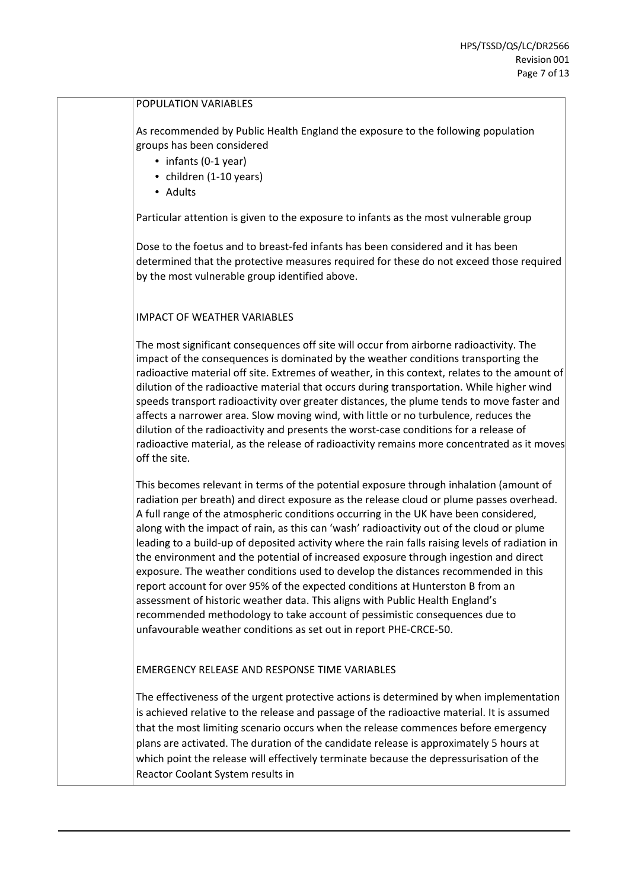### POPULATION VARIABLES

As recommended by Public Health England the exposure to the following population groups has been considered

- infants (0-1 year)
- children (1-10 years)
- Adults

Particular attention is given to the exposure to infants as the most vulnerable group

Dose to the foetus and to breast-fed infants has been considered and it has been determined that the protective measures required for these do not exceed those required by the most vulnerable group identified above.

### IMPACT OF WEATHER VARIABLES

The most significant consequences off site will occur from airborne radioactivity. The impact of the consequences is dominated by the weather conditions transporting the radioactive material off site. Extremes of weather, in this context, relates to the amount of dilution of the radioactive material that occurs during transportation. While higher wind speeds transport radioactivity over greater distances, the plume tends to move faster and affects a narrower area. Slow moving wind, with little or no turbulence, reduces the dilution of the radioactivity and presents the worst-case conditions for a release of radioactive material, as the release of radioactivity remains more concentrated as it moves off the site.

This becomes relevant in terms of the potential exposure through inhalation (amount of radiation per breath) and direct exposure as the release cloud or plume passes overhead. A full range of the atmospheric conditions occurring in the UK have been considered, along with the impact of rain, as this can 'wash' radioactivity out of the cloud or plume leading to a build-up of deposited activity where the rain falls raising levels of radiation in the environment and the potential of increased exposure through ingestion and direct exposure. The weather conditions used to develop the distances recommended in this report account for over 95% of the expected conditions at Hunterston B from an assessment of historic weather data. This aligns with Public Health England's recommended methodology to take account of pessimistic consequences due to unfavourable weather conditions as set out in report PHE-CRCE-50.

### EMERGENCY RELEASE AND RESPONSE TIME VARIABLES

The effectiveness of the urgent protective actions is determined by when implementation is achieved relative to the release and passage of the radioactive material. It is assumed that the most limiting scenario occurs when the release commences before emergency plans are activated. The duration of the candidate release is approximately 5 hours at which point the release will effectively terminate because the depressurisation of the Reactor Coolant System results in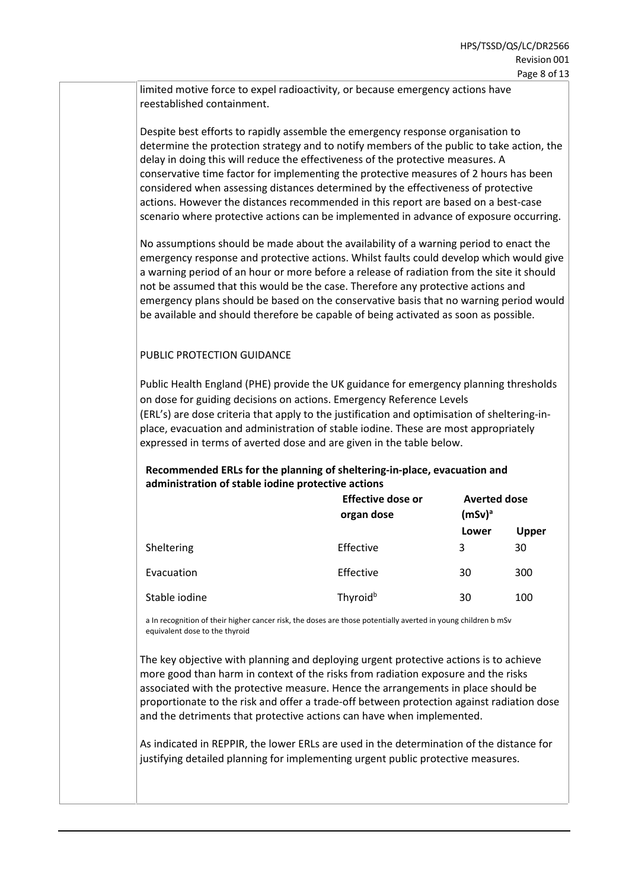limited motive force to expel radioactivity, or because emergency actions have reestablished containment.

Despite best efforts to rapidly assemble the emergency response organisation to determine the protection strategy and to notify members of the public to take action, the delay in doing this will reduce the effectiveness of the protective measures. A conservative time factor for implementing the protective measures of 2 hours has been considered when assessing distances determined by the effectiveness of protective actions. However the distances recommended in this report are based on a best-case scenario where protective actions can be implemented in advance of exposure occurring.

No assumptions should be made about the availability of a warning period to enact the emergency response and protective actions. Whilst faults could develop which would give a warning period of an hour or more before a release of radiation from the site it should not be assumed that this would be the case. Therefore any protective actions and emergency plans should be based on the conservative basis that no warning period would be available and should therefore be capable of being activated as soon as possible.

### PUBLIC PROTECTION GUIDANCE

Public Health England (PHE) provide the UK guidance for emergency planning thresholds on dose for guiding decisions on actions. Emergency Reference Levels (ERL's) are dose criteria that apply to the justification and optimisation of sheltering-inplace, evacuation and administration of stable iodine. These are most appropriately expressed in terms of averted dose and are given in the table below.

### **Recommended ERLs for the planning of sheltering-in-place, evacuation and administration of stable iodine protective actions**

|               | Effective dose or<br>organ dose | <b>Averted dose</b><br>$(mSv)^a$ |              |  |
|---------------|---------------------------------|----------------------------------|--------------|--|
|               |                                 | Lower                            | <b>Upper</b> |  |
| Sheltering    | Effective                       | 3                                | 30           |  |
| Evacuation    | Effective                       | 30                               | 300          |  |
| Stable iodine | Thyroid <sup>b</sup>            | 30                               | 100          |  |

a In recognition of their higher cancer risk, the doses are those potentially averted in young children b mSv equivalent dose to the thyroid

The key objective with planning and deploying urgent protective actions is to achieve more good than harm in context of the risks from radiation exposure and the risks associated with the protective measure. Hence the arrangements in place should be proportionate to the risk and offer a trade-off between protection against radiation dose and the detriments that protective actions can have when implemented.

As indicated in REPPIR, the lower ERLs are used in the determination of the distance for justifying detailed planning for implementing urgent public protective measures.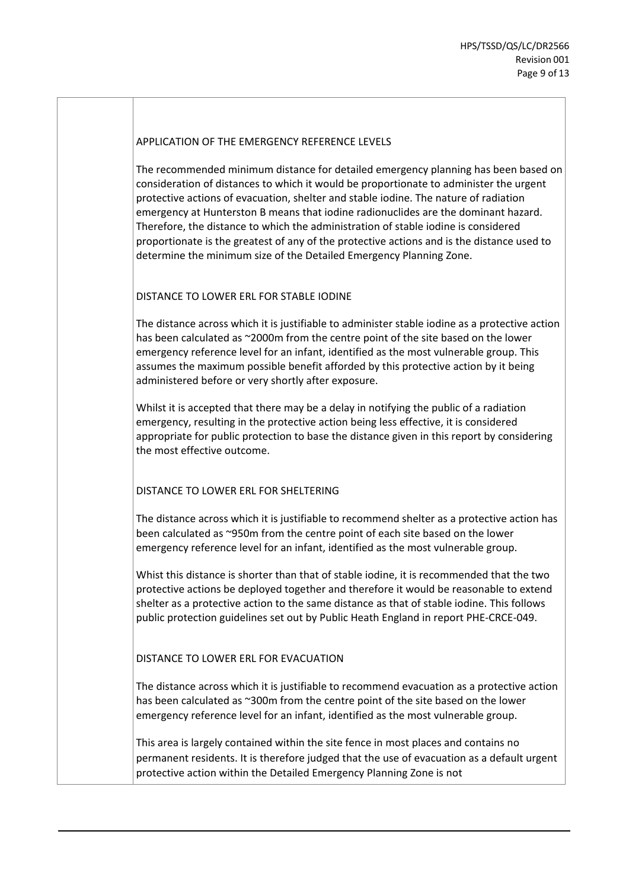### APPLICATION OF THE EMERGENCY REFERENCE LEVELS

The recommended minimum distance for detailed emergency planning has been based on consideration of distances to which it would be proportionate to administer the urgent protective actions of evacuation, shelter and stable iodine. The nature of radiation emergency at Hunterston B means that iodine radionuclides are the dominant hazard. Therefore, the distance to which the administration of stable iodine is considered proportionate is the greatest of any of the protective actions and is the distance used to determine the minimum size of the Detailed Emergency Planning Zone.

### DISTANCE TO LOWER ERL FOR STABLE IODINE

The distance across which it is justifiable to administer stable iodine as a protective action has been calculated as ~2000m from the centre point of the site based on the lower emergency reference level for an infant, identified as the most vulnerable group. This assumes the maximum possible benefit afforded by this protective action by it being administered before or very shortly after exposure.

Whilst it is accepted that there may be a delay in notifying the public of a radiation emergency, resulting in the protective action being less effective, it is considered appropriate for public protection to base the distance given in this report by considering the most effective outcome.

### DISTANCE TO LOWER ERL FOR SHELTERING

The distance across which it is justifiable to recommend shelter as a protective action has been calculated as ~950m from the centre point of each site based on the lower emergency reference level for an infant, identified as the most vulnerable group.

Whist this distance is shorter than that of stable iodine, it is recommended that the two protective actions be deployed together and therefore it would be reasonable to extend shelter as a protective action to the same distance as that of stable iodine. This follows public protection guidelines set out by Public Heath England in report PHE-CRCE-049.

### DISTANCE TO LOWER ERL FOR EVACUATION

The distance across which it is justifiable to recommend evacuation as a protective action has been calculated as ~300m from the centre point of the site based on the lower emergency reference level for an infant, identified as the most vulnerable group.

This area is largely contained within the site fence in most places and contains no permanent residents. It is therefore judged that the use of evacuation as a default urgent protective action within the Detailed Emergency Planning Zone is not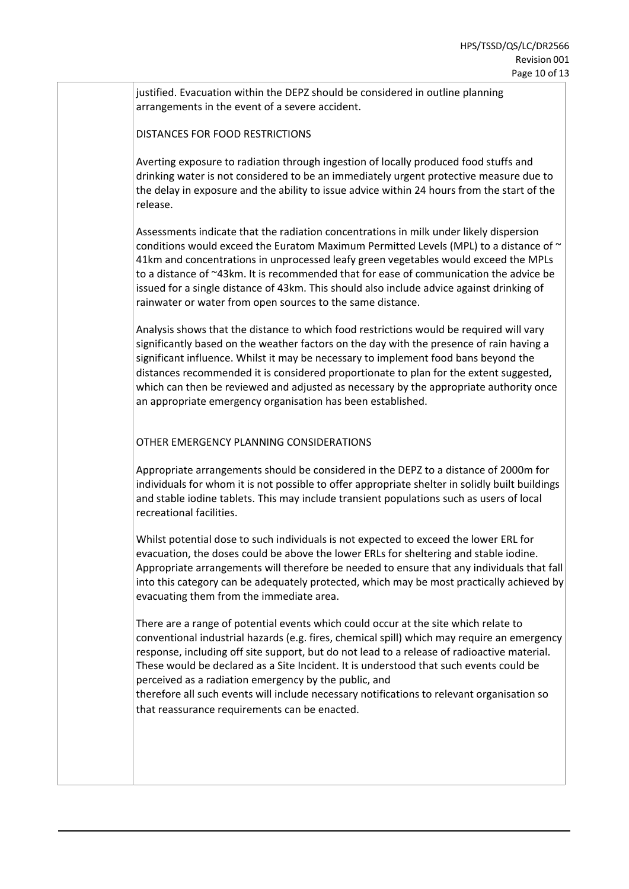justified. Evacuation within the DEPZ should be considered in outline planning arrangements in the event of a severe accident.

DISTANCES FOR FOOD RESTRICTIONS

Averting exposure to radiation through ingestion of locally produced food stuffs and drinking water is not considered to be an immediately urgent protective measure due to the delay in exposure and the ability to issue advice within 24 hours from the start of the release.

Assessments indicate that the radiation concentrations in milk under likely dispersion conditions would exceed the Euratom Maximum Permitted Levels (MPL) to a distance of  $\sim$ 41km and concentrations in unprocessed leafy green vegetables would exceed the MPLs to a distance of ~43km. It is recommended that for ease of communication the advice be issued for a single distance of 43km. This should also include advice against drinking of rainwater or water from open sources to the same distance.

Analysis shows that the distance to which food restrictions would be required will vary significantly based on the weather factors on the day with the presence of rain having a significant influence. Whilst it may be necessary to implement food bans beyond the distances recommended it is considered proportionate to plan for the extent suggested, which can then be reviewed and adjusted as necessary by the appropriate authority once an appropriate emergency organisation has been established.

OTHER EMERGENCY PLANNING CONSIDERATIONS

Appropriate arrangements should be considered in the DEPZ to a distance of 2000m for individuals for whom it is not possible to offer appropriate shelter in solidly built buildings and stable iodine tablets. This may include transient populations such as users of local recreational facilities.

Whilst potential dose to such individuals is not expected to exceed the lower ERL for evacuation, the doses could be above the lower ERLs for sheltering and stable iodine. Appropriate arrangements will therefore be needed to ensure that any individuals that fall into this category can be adequately protected, which may be most practically achieved by evacuating them from the immediate area.

There are a range of potential events which could occur at the site which relate to conventional industrial hazards (e.g. fires, chemical spill) which may require an emergency response, including off site support, but do not lead to a release of radioactive material. These would be declared as a Site Incident. It is understood that such events could be perceived as a radiation emergency by the public, and

therefore all such events will include necessary notifications to relevant organisation so that reassurance requirements can be enacted.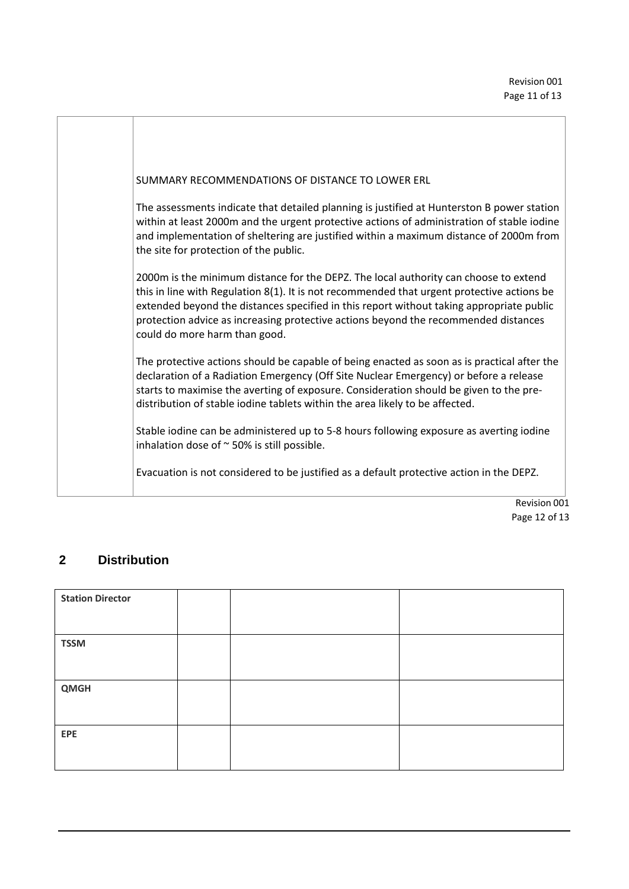| SUMMARY RECOMMENDATIONS OF DISTANCE TO LOWER ERL                                                                                                                                                                                                                                                                                                                                                       |
|--------------------------------------------------------------------------------------------------------------------------------------------------------------------------------------------------------------------------------------------------------------------------------------------------------------------------------------------------------------------------------------------------------|
| The assessments indicate that detailed planning is justified at Hunterston B power station<br>within at least 2000m and the urgent protective actions of administration of stable iodine<br>and implementation of sheltering are justified within a maximum distance of 2000m from<br>the site for protection of the public.                                                                           |
| 2000m is the minimum distance for the DEPZ. The local authority can choose to extend<br>this in line with Regulation 8(1). It is not recommended that urgent protective actions be<br>extended beyond the distances specified in this report without taking appropriate public<br>protection advice as increasing protective actions beyond the recommended distances<br>could do more harm than good. |
| The protective actions should be capable of being enacted as soon as is practical after the<br>declaration of a Radiation Emergency (Off Site Nuclear Emergency) or before a release<br>starts to maximise the averting of exposure. Consideration should be given to the pre-<br>distribution of stable iodine tablets within the area likely to be affected.                                         |
| Stable iodine can be administered up to 5-8 hours following exposure as averting iodine<br>inhalation dose of $\sim$ 50% is still possible.                                                                                                                                                                                                                                                            |
| Evacuation is not considered to be justified as a default protective action in the DEPZ.                                                                                                                                                                                                                                                                                                               |

Revision 001 Page 12 of 13

### **2 Distribution**

| <b>Station Director</b> |  |  |
|-------------------------|--|--|
| <b>TSSM</b>             |  |  |
|                         |  |  |
| <b>QMGH</b>             |  |  |
|                         |  |  |
| EPE                     |  |  |
|                         |  |  |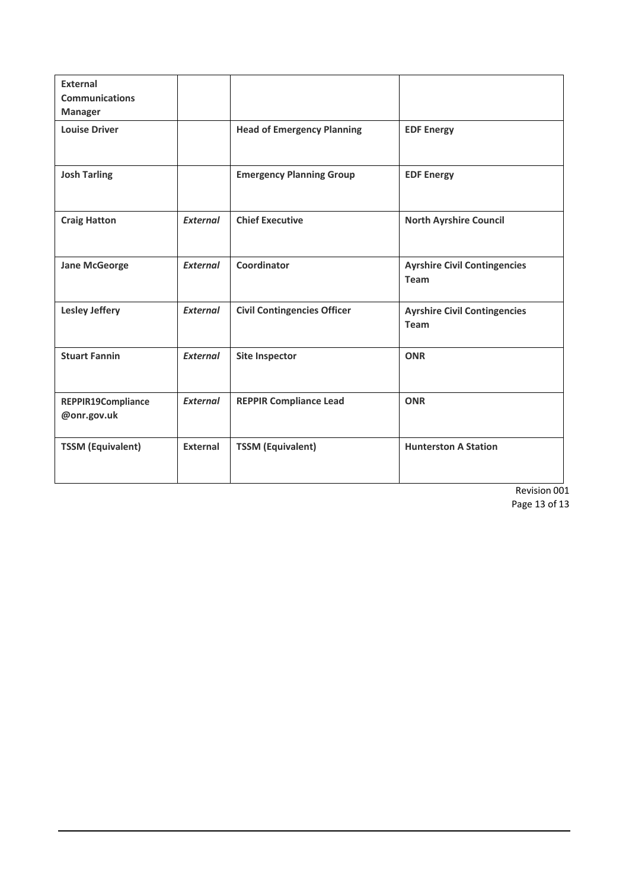| <b>External</b><br><b>Communications</b><br><b>Manager</b> |                 |                                    |                                             |
|------------------------------------------------------------|-----------------|------------------------------------|---------------------------------------------|
| <b>Louise Driver</b>                                       |                 | <b>Head of Emergency Planning</b>  | <b>EDF Energy</b>                           |
| <b>Josh Tarling</b>                                        |                 | <b>Emergency Planning Group</b>    | <b>EDF Energy</b>                           |
| <b>Craig Hatton</b>                                        | External        | <b>Chief Executive</b>             | <b>North Ayrshire Council</b>               |
| <b>Jane McGeorge</b>                                       | <b>External</b> | Coordinator                        | <b>Ayrshire Civil Contingencies</b><br>Team |
| <b>Lesley Jeffery</b>                                      | <b>External</b> | <b>Civil Contingencies Officer</b> | <b>Ayrshire Civil Contingencies</b><br>Team |
| <b>Stuart Fannin</b>                                       | <b>External</b> | <b>Site Inspector</b>              | <b>ONR</b>                                  |
| REPPIR19Compliance<br>@onr.gov.uk                          | <b>External</b> | <b>REPPIR Compliance Lead</b>      | <b>ONR</b>                                  |
| <b>TSSM (Equivalent)</b>                                   | External        | <b>TSSM (Equivalent)</b>           | <b>Hunterston A Station</b>                 |

Revision 001 Page 13 of 13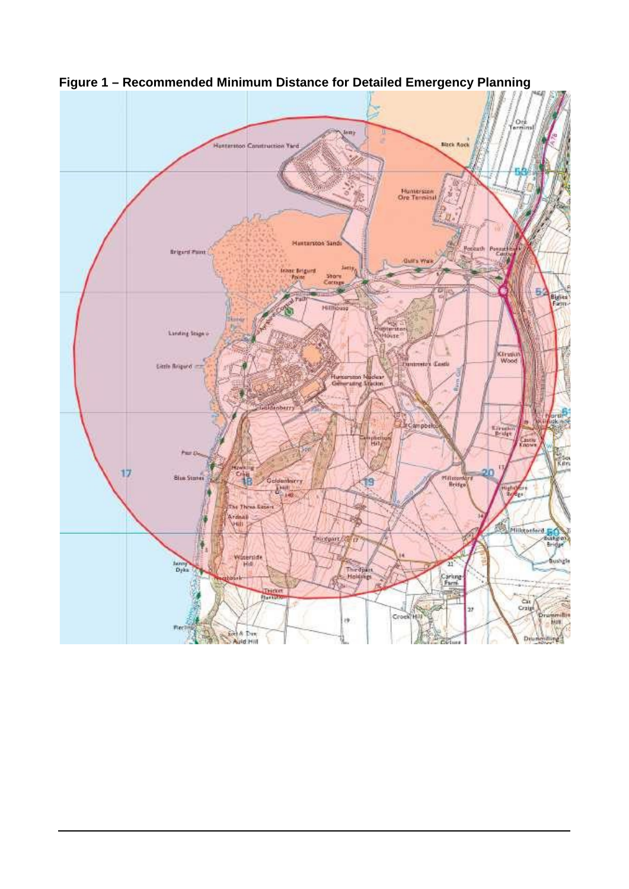

<span id="page-24-0"></span>**Figure 1 – Recommended Minimum Distance for Detailed Emergency Planning**